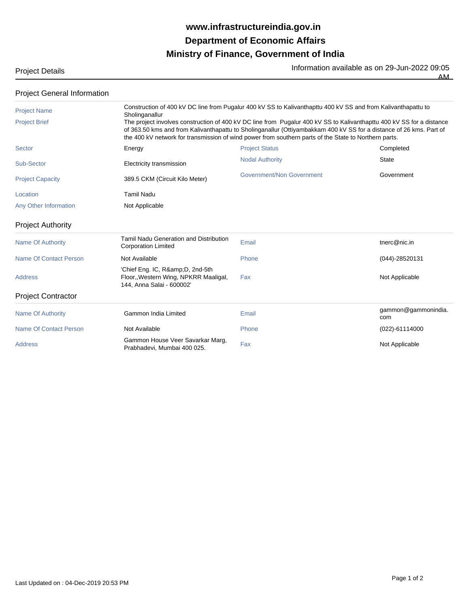## **Ministry of Finance, Government of India Department of Economic Affairs www.infrastructureindia.gov.in**

Project Details **Information available as on 29-Jun-2022** 09:05

 $\overline{AM}$ 

| <b>Project General Information</b> |  |
|------------------------------------|--|
|------------------------------------|--|

| <b>Project Name</b>           | Construction of 400 kV DC line from Pugalur 400 kV SS to Kalivanthapttu 400 kV SS and from Kalivanthapattu to<br>Sholinganallur |                                                                                                                                                                                                                                                                                                                                                       |                            |  |  |
|-------------------------------|---------------------------------------------------------------------------------------------------------------------------------|-------------------------------------------------------------------------------------------------------------------------------------------------------------------------------------------------------------------------------------------------------------------------------------------------------------------------------------------------------|----------------------------|--|--|
| <b>Project Brief</b>          |                                                                                                                                 | The project involves construction of 400 kV DC line from Pugalur 400 kV SS to Kalivanthapttu 400 kV SS for a distance<br>of 363.50 kms and from Kalivanthapattu to Sholinganallur (Ottiyambakkam 400 kV SS for a distance of 26 kms. Part of<br>the 400 kV network for transmission of wind power from southern parts of the State to Northern parts. |                            |  |  |
| Sector                        | Energy                                                                                                                          | <b>Project Status</b>                                                                                                                                                                                                                                                                                                                                 | Completed                  |  |  |
| Sub-Sector                    | Electricity transmission                                                                                                        | <b>Nodal Authority</b>                                                                                                                                                                                                                                                                                                                                | <b>State</b>               |  |  |
| <b>Project Capacity</b>       | 389.5 CKM (Circuit Kilo Meter)                                                                                                  | Government/Non Government                                                                                                                                                                                                                                                                                                                             | Government                 |  |  |
| Location                      | <b>Tamil Nadu</b>                                                                                                               |                                                                                                                                                                                                                                                                                                                                                       |                            |  |  |
| Any Other Information         | Not Applicable                                                                                                                  |                                                                                                                                                                                                                                                                                                                                                       |                            |  |  |
| <b>Project Authority</b>      |                                                                                                                                 |                                                                                                                                                                                                                                                                                                                                                       |                            |  |  |
| <b>Name Of Authority</b>      | Tamil Nadu Generation and Distribution<br><b>Corporation Limited</b>                                                            | Email                                                                                                                                                                                                                                                                                                                                                 | tnerc@nic.in               |  |  |
| <b>Name Of Contact Person</b> | Not Available                                                                                                                   | Phone                                                                                                                                                                                                                                                                                                                                                 | $(044) - 28520131$         |  |  |
| <b>Address</b>                | 'Chief Eng. IC, R& D, 2nd-5th<br>Floor, Western Wing, NPKRR Maaligal,<br>144, Anna Salai - 600002'                              | Fax                                                                                                                                                                                                                                                                                                                                                   | Not Applicable             |  |  |
| <b>Project Contractor</b>     |                                                                                                                                 |                                                                                                                                                                                                                                                                                                                                                       |                            |  |  |
| <b>Name Of Authority</b>      | Gammon India Limited                                                                                                            | Email                                                                                                                                                                                                                                                                                                                                                 | gammon@gammonindia.<br>com |  |  |
| <b>Name Of Contact Person</b> | Not Available                                                                                                                   | Phone                                                                                                                                                                                                                                                                                                                                                 | (022)-61114000             |  |  |
| <b>Address</b>                | Gammon House Veer Savarkar Marg,<br>Prabhadevi, Mumbai 400 025.                                                                 | Fax                                                                                                                                                                                                                                                                                                                                                   | Not Applicable             |  |  |